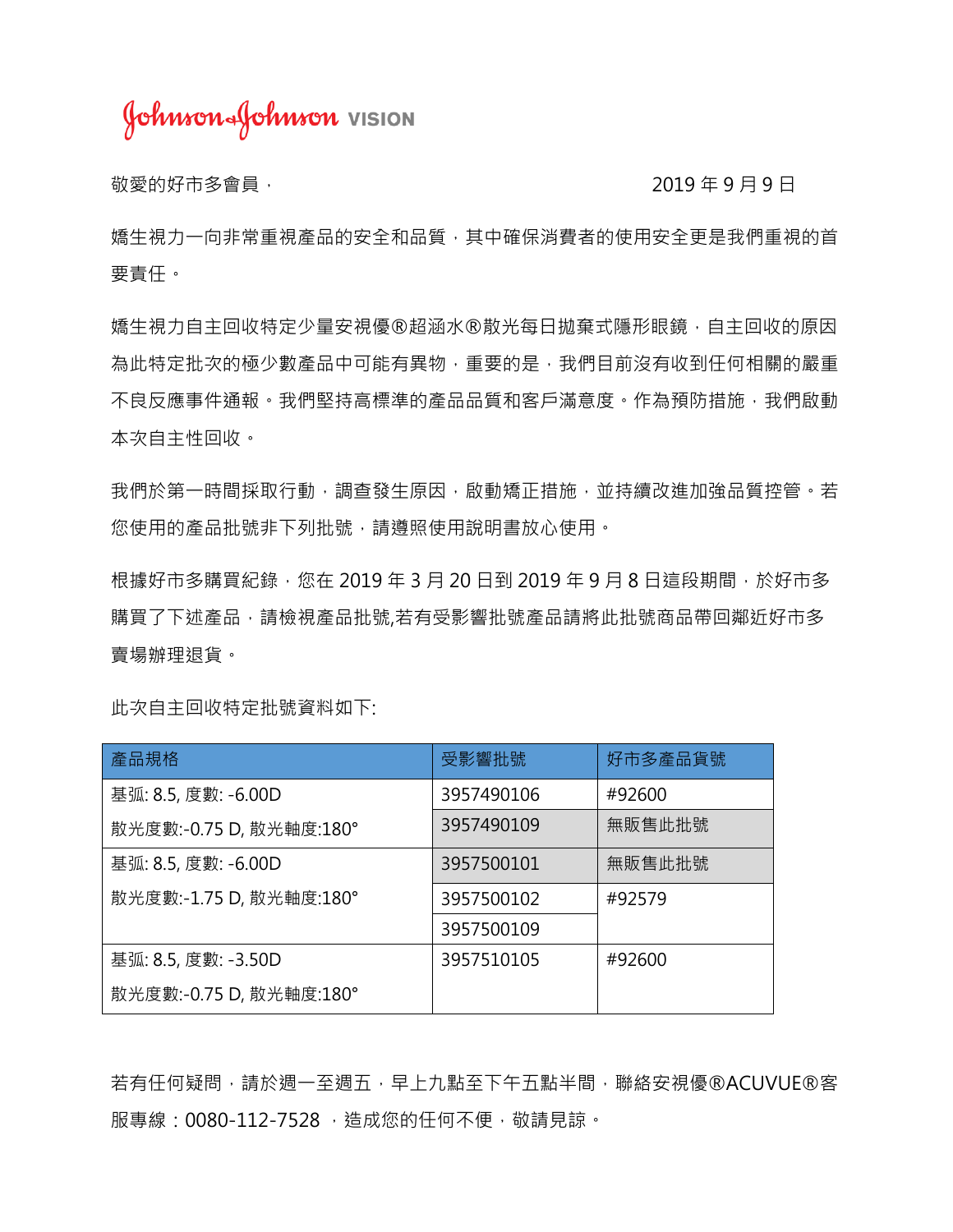Johnson Johnson vision

敬愛的好市多會員, 2019年9月, 2019年9月, 2019年9月, 2019年9月, 2019年9月, 2019年9月, 2019年, 2019年, 201

婚生視力一向非常重視產品的安全和品質,其中確保消費者的使用安全更是我們重視的首 要責任。

嬌生視力自主回收特定少量安視優®超涵水®散光每日拋棄式隱形眼鏡,自主回收的原因 為此特定批次的極少數產品中可能有異物,重要的是,我們目前沒有收到任何相關的嚴重 不良反應事件通報。我們堅持高標準的產品品質和客戶滿意度。作為預防措施,我們啟動 本次自主性回收。

我們於第一時間採取行動,調查發生原因,啟動矯正措施,並持續改進加強品質控管。若 您使用的產品批號非下列批號,請遵照使用說明書放心使用。

根據好市多購買紀錄,您在 2019 年 3 月 20 日到 2019 年 9 月 8 日這段期間,於好市多 購買了下述產品,請檢視產品批號,若有受影響批號產品請將此批號商品帶回鄰近好市多 賣場辦理退貨。

| 產品規格                    | 受影響批號      | 好市多產品貨號 |
|-------------------------|------------|---------|
| 基弧: 8.5, 度數: -6.00D     | 3957490106 | #92600  |
| 散光度數:-0.75 D, 散光軸度:180° | 3957490109 | 無販售此批號  |
| 基弧: 8.5, 度數: -6.00D     | 3957500101 | 無販售此批號  |
| 散光度數:-1.75 D, 散光軸度:180° | 3957500102 | #92579  |
|                         | 3957500109 |         |
| 基弧: 8.5, 度數: -3.50D     | 3957510105 | #92600  |
| 散光度數:-0.75 D, 散光軸度:180° |            |         |

此次自主回收特定批號資料如下:

若有任何疑問,請於週一至週五,早上九點至下午五點半間,聯絡安視優®ACUVUE®客 服專線: 0080-112-7528, 造成您的任何不便, 敬請見諒。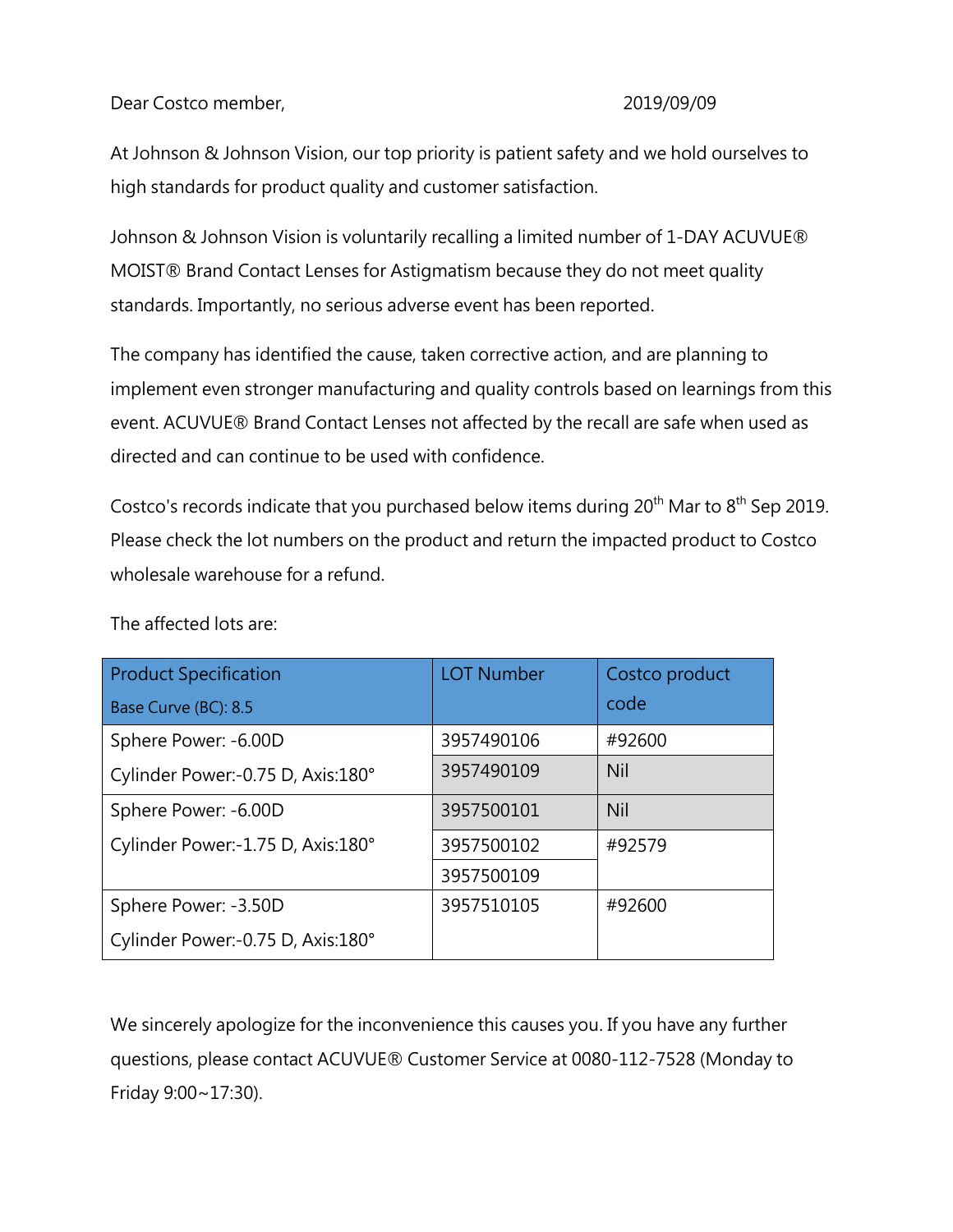Dear Costco member, 2019/09/09

At Johnson & Johnson Vision, our top priority is patient safety and we hold ourselves to high standards for product quality and customer satisfaction.

Johnson & Johnson Vision is voluntarily recalling a limited number of 1-DAY ACUVUE® MOIST® Brand Contact Lenses for Astigmatism because they do not meet quality standards. Importantly, no serious adverse event has been reported.

The company has identified the cause, taken corrective action, and are planning to implement even stronger manufacturing and quality controls based on learnings from this event. ACUVUE® Brand Contact Lenses not affected by the recall are safe when used as directed and can continue to be used with confidence.

Costco's records indicate that you purchased below items during  $20<sup>th</sup>$  Mar to  $8<sup>th</sup>$  Sep 2019. Please check the lot numbers on the product and return the impacted product to Costco wholesale warehouse for a refund.

| <b>Product Specification</b>      | <b>LOT Number</b> | Costco product |
|-----------------------------------|-------------------|----------------|
| Base Curve (BC): 8.5              |                   | code           |
| Sphere Power: -6.00D              | 3957490106        | #92600         |
| Cylinder Power:-0.75 D, Axis:180° | 3957490109        | Nil            |
| Sphere Power: -6.00D              | 3957500101        | Nil            |
| Cylinder Power:-1.75 D, Axis:180° | 3957500102        | #92579         |
|                                   | 3957500109        |                |
| Sphere Power: -3.50D              | 3957510105        | #92600         |
| Cylinder Power:-0.75 D, Axis:180° |                   |                |

The affected lots are:

We sincerely apologize for the inconvenience this causes you. If you have any further questions, please contact ACUVUE® Customer Service at 0080-112-7528 (Monday to Friday 9:00~17:30).